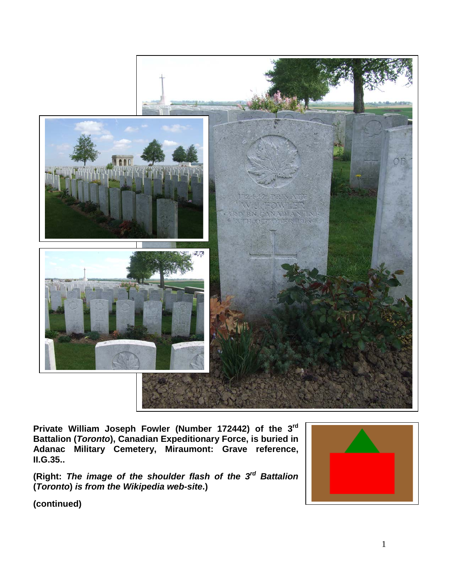

**Private William Joseph Fowler (Number 172442) of the 3rd Battalion (***Toronto***), Canadian Expeditionary Force, is buried in Adanac Military Cemetery, Miraumont: Grave reference, II.G.35..**

**(Right:** *The image of the shoulder flash of the 3rd Battalion*  **(***Toronto***)** *is from the Wikipedia web-site***.)**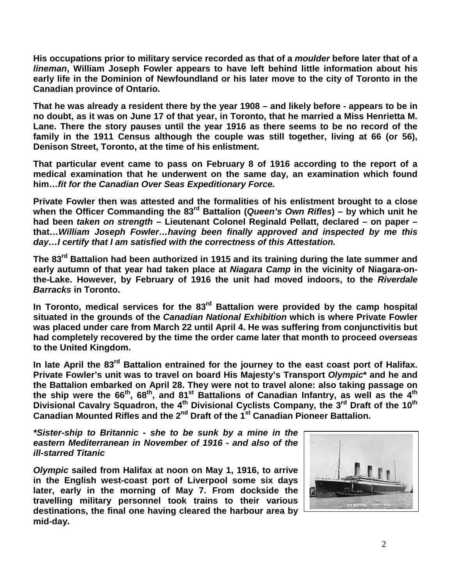**His occupations prior to military service recorded as that of a** *moulder* **before later that of a**  *lineman***, William Joseph Fowler appears to have left behind little information about his early life in the Dominion of Newfoundland or his later move to the city of Toronto in the Canadian province of Ontario.**

**That he was already a resident there by the year 1908 – and likely before - appears to be in no doubt, as it was on June 17 of that year, in Toronto, that he married a Miss Henrietta M. Lane. There the story pauses until the year 1916 as there seems to be no record of the family in the 1911 Census although the couple was still together, living at 66 (or 56), Denison Street, Toronto, at the time of his enlistment.**

**That particular event came to pass on February 8 of 1916 according to the report of a medical examination that he underwent on the same day, an examination which found him…***fit for the Canadian Over Seas Expeditionary Force.*

**Private Fowler then was attested and the formalities of his enlistment brought to a close when the Officer Commanding the 83rd Battalion (***Queen's Own Rifles***) – by which unit he had been** *taken on strength* **– Lieutenant Colonel Reginald Pellatt, declared – on paper – that…***William Joseph Fowler…having been finally approved and inspected by me this day…I certify that I am satisfied with the correctness of this Attestation.*

The 83<sup>rd</sup> Battalion had been authorized in 1915 and its training during the late summer and **early autumn of that year had taken place at** *Niagara Camp* **in the vicinity of Niagara-onthe-Lake. However, by February of 1916 the unit had moved indoors, to the** *Riverdale Barracks* **in Toronto.** 

In Toronto, medical services for the 83<sup>rd</sup> Battalion were provided by the camp hospital **situated in the grounds of the** *Canadian National Exhibition* **which is where Private Fowler was placed under care from March 22 until April 4. He was suffering from conjunctivitis but had completely recovered by the time the order came later that month to proceed** *overseas* **to the United Kingdom.**

**In late April the 83rd Battalion entrained for the journey to the east coast port of Halifax. Private Fowler's unit was to travel on board His Majesty's Transport** *Olympic***\* and he and the Battalion embarked on April 28. They were not to travel alone: also taking passage on the ship were the 66th, 68th, and 81st Battalions of Canadian Infantry, as well as the 4th Divisional Cavalry Squadron, the 4th Divisional Cyclists Company, the 3rd Draft of the 10th Canadian Mounted Rifles and the 2nd Draft of the 1st Canadian Pioneer Battalion.**

*\*Sister-ship to Britannic - she to be sunk by a mine in the eastern Mediterranean in November of 1916 - and also of the ill-starred Titanic*

*Olympic* **sailed from Halifax at noon on May 1, 1916, to arrive in the English west-coast port of Liverpool some six days later, early in the morning of May 7. From dockside the travelling military personnel took trains to their various destinations, the final one having cleared the harbour area by mid-day.**

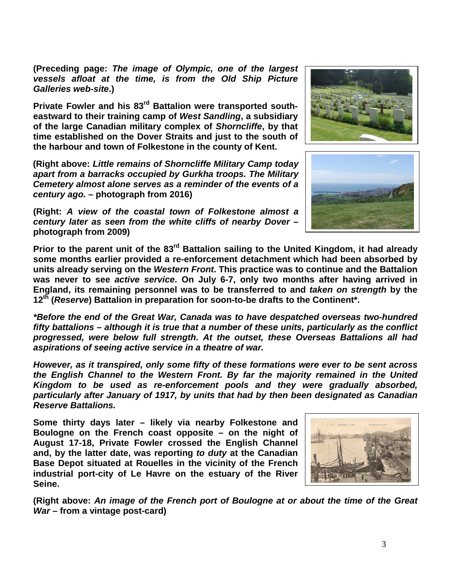**(Preceding page:** *The image of Olympic, one of the largest vessels afloat at the time, is from the Old Ship Picture Galleries web-site***.)**

**Private Fowler and his 83rd Battalion were transported southeastward to their training camp of** *West Sandling***, a subsidiary of the large Canadian military complex of** *Shorncliffe***, by that time established on the Dover Straits and just to the south of the harbour and town of Folkestone in the county of Kent.**

**(Right above:** *Little remains of Shorncliffe Military Camp today apart from a barracks occupied by Gurkha troops. The Military Cemetery almost alone serves as a reminder of the events of a century ago.* **– photograph from 2016)**

**(Right:** *A view of the coastal town of Folkestone almost a century later as seen from the white cliffs of nearby Dover* **– photograph from 2009)**





Prior to the parent unit of the 83<sup>rd</sup> Battalion sailing to the United Kingdom, it had already **some months earlier provided a re-enforcement detachment which had been absorbed by units already serving on the** *Western Front***. This practice was to continue and the Battalion was never to see** *active service***. On July 6-7, only two months after having arrived in England, its remaining personnel was to be transferred to and** *taken on strength* **by the 12th (***Reserve***) Battalion in preparation for soon-to-be drafts to the Continent\*.** 

*\*Before the end of the Great War, Canada was to have despatched overseas two-hundred fifty battalions – although it is true that a number of these units, particularly as the conflict progressed, were below full strength. At the outset, these Overseas Battalions all had aspirations of seeing active service in a theatre of war.*

*However, as it transpired, only some fifty of these formations were ever to be sent across the English Channel to the Western Front. By far the majority remained in the United Kingdom to be used as re-enforcement pools and they were gradually absorbed, particularly after January of 1917, by units that had by then been designated as Canadian Reserve Battalions.*

**Some thirty days later – likely via nearby Folkestone and Boulogne on the French coast opposite – on the night of August 17-18, Private Fowler crossed the English Channel and, by the latter date, was reporting** *to duty* **at the Canadian Base Depot situated at Rouelles in the vicinity of the French industrial port-city of Le Havre on the estuary of the River Seine.**



**(Right above:** *An image of the French port of Boulogne at or about the time of the Great War* **– from a vintage post-card)**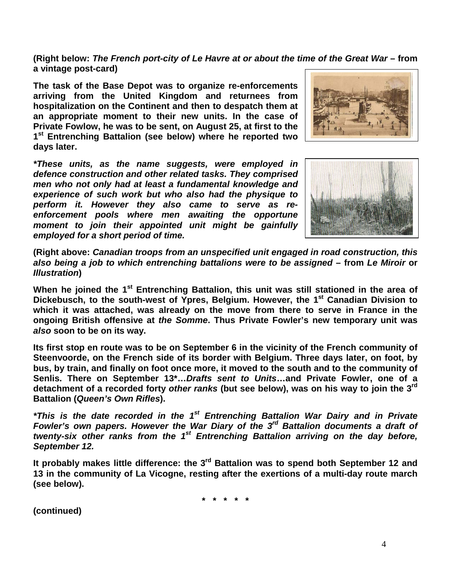**(Right below:** *The French port-city of Le Havre at or about the time of the Great War* **– from a vintage post-card)**

**The task of the Base Depot was to organize re-enforcements arriving from the United Kingdom and returnees from hospitalization on the Continent and then to despatch them at an appropriate moment to their new units. In the case of Private Fowlow, he was to be sent, on August 25, at first to the 1st Entrenching Battalion (see below) where he reported two days later.**

*\*These units, as the name suggests, were employed in defence construction and other related tasks. They comprised men who not only had at least a fundamental knowledge and experience of such work but who also had the physique to perform it. However they also came to serve as reenforcement pools where men awaiting the opportune moment to join their appointed unit might be gainfully employed for a short period of time.*





**(Right above:** *Canadian troops from an unspecified unit engaged in road construction, this also being a job to which entrenching battalions were to be assigned* **– from** *Le Miroir* **or**  *Illustration***)**

**When he joined the 1st Entrenching Battalion, this unit was still stationed in the area of Dickebusch, to the south-west of Ypres, Belgium. However, the 1st Canadian Division to which it was attached, was already on the move from there to serve in France in the ongoing British offensive at** *the Somme***. Thus Private Fowler's new temporary unit was**  *also* **soon to be on its way.**

**Its first stop en route was to be on September 6 in the vicinity of the French community of Steenvoorde, on the French side of its border with Belgium. Three days later, on foot, by bus, by train, and finally on foot once more, it moved to the south and to the community of Senlis. There on September 13\*…***Drafts sent to Units***…and Private Fowler, one of a detachment of a recorded forty** *other ranks* **(but see below), was on his way to join the 3rd Battalion (***Queen's Own Rifles***).**

*\*This is the date recorded in the 1st Entrenching Battalion War Dairy and in Private Fowler's own papers. However the War Diary of the 3rd Battalion documents a draft of twenty-six other ranks from the 1st Entrenching Battalion arriving on the day before, September 12.* 

It probably makes little difference: the 3<sup>rd</sup> Battalion was to spend both September 12 and **13 in the community of La Vicogne, resting after the exertions of a multi-day route march (see below).**

**\* \* \* \* \***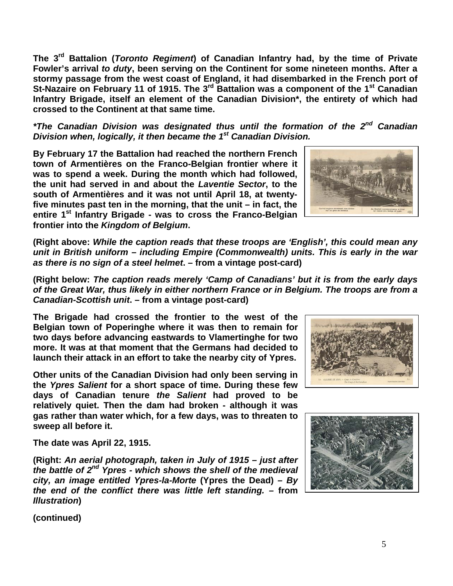**The 3rd Battalion (***Toronto Regiment***) of Canadian Infantry had, by the time of Private Fowler's arrival** *to duty***, been serving on the Continent for some nineteen months. After a stormy passage from the west coast of England, it had disembarked in the French port of St-Nazaire on February 11 of 1915. The 3rd Battalion was a component of the 1st Canadian Infantry Brigade, itself an element of the Canadian Division\*, the entirety of which had crossed to the Continent at that same time.**

*\*The Canadian Division was designated thus until the formation of the 2nd Canadian Division when, logically, it then became the 1st Canadian Division.*

**By February 17 the Battalion had reached the northern French town of Armentières on the Franco-Belgian frontier where it was to spend a week. During the month which had followed, the unit had served in and about the** *Laventie Sector***, to the south of Armentières and it was not until April 18, at twentyfive minutes past ten in the morning, that the unit – in fact, the entire 1st Infantry Brigade - was to cross the Franco-Belgian frontier into the** *Kingdom of Belgium***.**

**(Right above:** *While the caption reads that these troops are 'English', this could mean any unit in British uniform – including Empire (Commonwealth) units. This is early in the war as there is no sign of a steel helmet***. – from a vintage post-card)**

**(Right below:** *The caption reads merely 'Camp of Canadians' but it is from the early days of the Great War, thus likely in either northern France or in Belgium. The troops are from a Canadian-Scottish unit***. – from a vintage post-card)**

**The Brigade had crossed the frontier to the west of the Belgian town of Poperinghe where it was then to remain for two days before advancing eastwards to Vlamertinghe for two more. It was at that moment that the Germans had decided to launch their attack in an effort to take the nearby city of Ypres.**

**Other units of the Canadian Division had only been serving in the** *Ypres Salient* **for a short space of time. During these few days of Canadian tenure** *the Salient* **had proved to be relatively quiet. Then the dam had broken - although it was gas rather than water which, for a few days, was to threaten to sweep all before it.** 

**The date was April 22, 1915.**

**(Right:** *An aerial photograph, taken in July of 1915 – just after the battle of 2nd Ypres - which shows the shell of the medieval city, an image entitled Ypres-la-Morte* **(Ypres the Dead)** *– By the end of the conflict there was little left standing. –* **from** *Illustration***)**



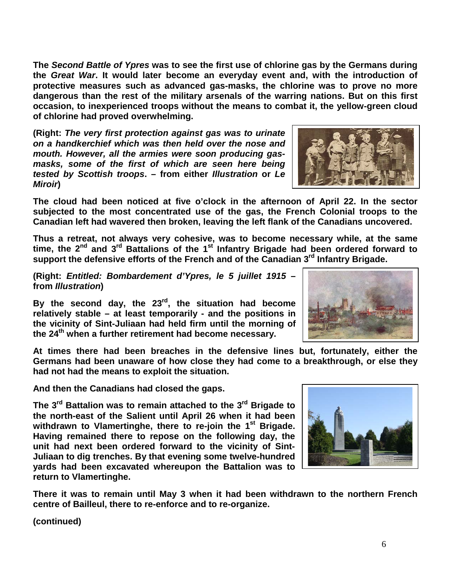**The** *Second Battle of Ypres* **was to see the first use of chlorine gas by the Germans during the** *Great War***. It would later become an everyday event and, with the introduction of protective measures such as advanced gas-masks, the chlorine was to prove no more dangerous than the rest of the military arsenals of the warring nations. But on this first occasion, to inexperienced troops without the means to combat it, the yellow-green cloud of chlorine had proved overwhelming.**

**(Right:** *The very first protection against gas was to urinate on a handkerchief which was then held over the nose and mouth. However, all the armies were soon producing gasmasks, some of the first of which are seen here being tested by Scottish troops***. – from either** *Illustration* **or** *Le Miroir***)**

**The cloud had been noticed at five o'clock in the afternoon of April 22. In the sector subjected to the most concentrated use of the gas, the French Colonial troops to the Canadian left had wavered then broken, leaving the left flank of the Canadians uncovered.**

**Thus a retreat, not always very cohesive, was to become necessary while, at the same time, the 2nd and 3rd Battalions of the 1st Infantry Brigade had been ordered forward to support the defensive efforts of the French and of the Canadian 3rd Infantry Brigade.**

**(Right:** *Entitled: Bombardement d'Ypres, le 5 juillet 1915* **– from** *Illustration***)**

**By the second day, the 23rd, the situation had become relatively stable – at least temporarily - and the positions in the vicinity of Sint-Juliaan had held firm until the morning of the 24th when a further retirement had become necessary.** 

**At times there had been breaches in the defensive lines but, fortunately, either the Germans had been unaware of how close they had come to a breakthrough, or else they had not had the means to exploit the situation.** 

**And then the Canadians had closed the gaps.**

**The 3rd Battalion was to remain attached to the 3rd Brigade to the north-east of the Salient until April 26 when it had been withdrawn to Vlamertinghe, there to re-join the 1st Brigade. Having remained there to repose on the following day, the unit had next been ordered forward to the vicinity of Sint-Juliaan to dig trenches. By that evening some twelve-hundred yards had been excavated whereupon the Battalion was to return to Vlamertinghe.** 

**There it was to remain until May 3 when it had been withdrawn to the northern French centre of Bailleul, there to re-enforce and to re-organize.**



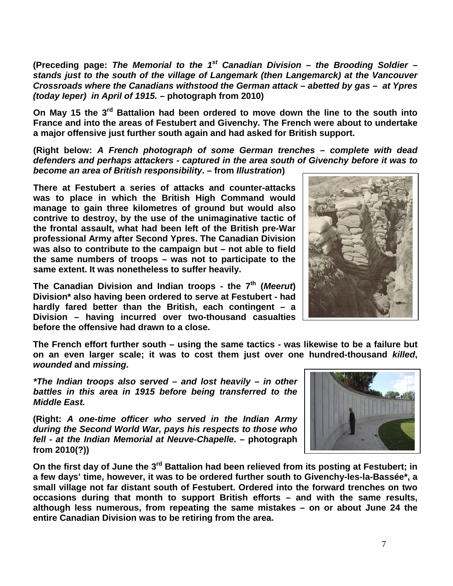**(Preceding page:** *The Memorial to the 1st Canadian Division – the Brooding Soldier – stands just to the south of the village of Langemark (then Langemarck) at the Vancouver Crossroads where the Canadians withstood the German attack – abetted by gas – at Ypres (today Ieper) in April of 1915.* **– photograph from 2010)**

**On May 15 the 3rd Battalion had been ordered to move down the line to the south into France and into the areas of Festubert and Givenchy. The French were about to undertake a major offensive just further south again and had asked for British support.**

**(Right below:** *A French photograph of some German trenches – complete with dead defenders and perhaps attackers - captured in the area south of Givenchy before it was to become an area of British responsibility***. – from** *Illustration***)** 

**There at Festubert a series of attacks and counter-attacks was to place in which the British High Command would manage to gain three kilometres of ground but would also contrive to destroy, by the use of the unimaginative tactic of the frontal assault, what had been left of the British pre-War professional Army after Second Ypres. The Canadian Division was also to contribute to the campaign but – not able to field the same numbers of troops – was not to participate to the same extent. It was nonetheless to suffer heavily.**

**The Canadian Division and Indian troops - the 7th (***Meerut***) Division\* also having been ordered to serve at Festubert - had hardly fared better than the British, each contingent – a Division – having incurred over two-thousand casualties before the offensive had drawn to a close.**



*\*The Indian troops also served – and lost heavily – in other battles in this area in 1915 before being transferred to the Middle East.*

**(Right:** *A one-time officer who served in the Indian Army during the Second World War, pays his respects to those who fell - at the Indian Memorial at Neuve-Chapelle***. – photograph from 2010(?))**



**On the first day of June the 3rd Battalion had been relieved from its posting at Festubert; in a few days' time, however, it was to be ordered further south to Givenchy-les-la-Bassée\*, a small village not far distant south of Festubert. Ordered into the forward trenches on two occasions during that month to support British efforts – and with the same results, although less numerous, from repeating the same mistakes – on or about June 24 the entire Canadian Division was to be retiring from the area.**

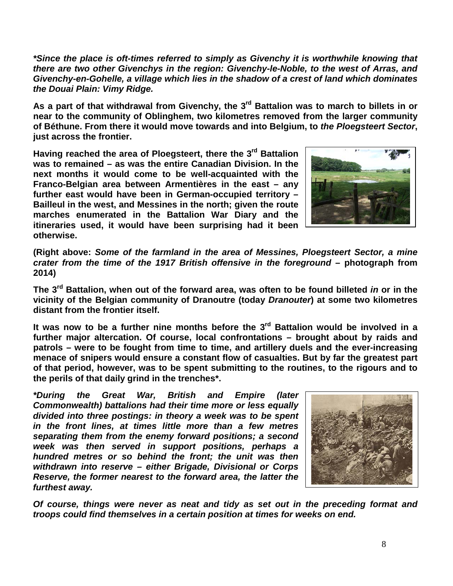*\*Since the place is oft-times referred to simply as Givenchy it is worthwhile knowing that there are two other Givenchys in the region: Givenchy-le-Noble, to the west of Arras, and Givenchy-en-Gohelle, a village which lies in the shadow of a crest of land which dominates the Douai Plain: Vimy Ridge.*

As a part of that withdrawal from Givenchy, the 3<sup>rd</sup> Battalion was to march to billets in or **near to the community of Oblinghem, two kilometres removed from the larger community of Béthune. From there it would move towards and into Belgium, to** *the Ploegsteert Sector***, just across the frontier.**

**Having reached the area of Ploegsteert, there the 3rd Battalion was to remained – as was the entire Canadian Division. In the next months it would come to be well-acquainted with the Franco-Belgian area between Armentières in the east – any further east would have been in German-occupied territory – Bailleul in the west, and Messines in the north; given the route marches enumerated in the Battalion War Diary and the itineraries used, it would have been surprising had it been otherwise.** 



**(Right above:** *Some of the farmland in the area of Messines, Ploegsteert Sector, a mine crater from the time of the 1917 British offensive in the foreground* **– photograph from 2014)**

**The 3rd Battalion, when out of the forward area, was often to be found billeted** *in* **or in the vicinity of the Belgian community of Dranoutre (today** *Dranouter***) at some two kilometres distant from the frontier itself.** 

**It was now to be a further nine months before the 3rd Battalion would be involved in a further major altercation. Of course, local confrontations – brought about by raids and patrols – were to be fought from time to time, and artillery duels and the ever-increasing menace of snipers would ensure a constant flow of casualties. But by far the greatest part of that period, however, was to be spent submitting to the routines, to the rigours and to the perils of that daily grind in the trenches\*.**

*\*During the Great War, British and Empire (later Commonwealth) battalions had their time more or less equally divided into three postings: in theory a week was to be spent in the front lines, at times little more than a few metres separating them from the enemy forward positions; a second week was then served in support positions, perhaps a hundred metres or so behind the front; the unit was then withdrawn into reserve – either Brigade, Divisional or Corps Reserve, the former nearest to the forward area, the latter the furthest away.* 



*Of course, things were never as neat and tidy as set out in the preceding format and troops could find themselves in a certain position at times for weeks on end.*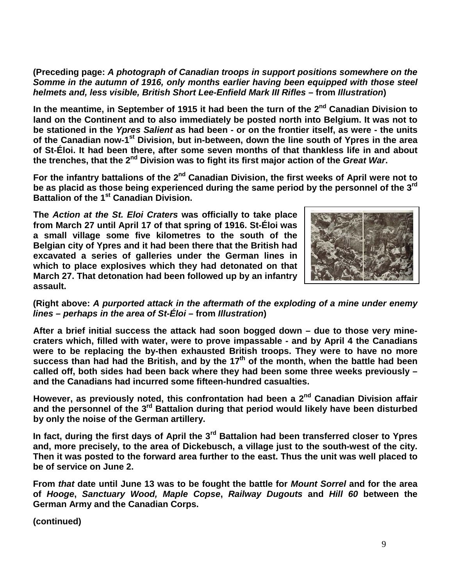**(Preceding page:** *A photograph of Canadian troops in support positions somewhere on the Somme in the autumn of 1916, only months earlier having been equipped with those steel helmets and, less visible, British Short Lee-Enfield Mark III Rifles* **– from** *Illustration***)**

**In the meantime, in September of 1915 it had been the turn of the 2nd Canadian Division to land on the Continent and to also immediately be posted north into Belgium. It was not to be stationed in the** *Ypres Salient* **as had been - or on the frontier itself, as were - the units of the Canadian now-1st Division, but in-between, down the line south of Ypres in the area of St-Éloi. It had been there, after some seven months of that thankless life in and about the trenches, that the 2nd Division was to fight its first major action of the** *Great War***.** 

For the infantry battalions of the 2<sup>nd</sup> Canadian Division, the first weeks of April were not to **be as placid as those being experienced during the same period by the personnel of the 3rd Battalion of the 1st Canadian Division.**

**The** *Action at the St. Eloi Craters* **was officially to take place from March 27 until April 17 of that spring of 1916. St-Éloi was a small village some five kilometres to the south of the Belgian city of Ypres and it had been there that the British had excavated a series of galleries under the German lines in which to place explosives which they had detonated on that March 27. That detonation had been followed up by an infantry assault.**



**(Right above:** *A purported attack in the aftermath of the exploding of a mine under enemy lines – perhaps in the area of St-Éloi* **– from** *Illustration***)**

**After a brief initial success the attack had soon bogged down – due to those very minecraters which, filled with water, were to prove impassable - and by April 4 the Canadians were to be replacing the by-then exhausted British troops. They were to have no more**  success than had had the British, and by the 17<sup>th</sup> of the month, when the battle had been **called off, both sides had been back where they had been some three weeks previously – and the Canadians had incurred some fifteen-hundred casualties.**

**However, as previously noted, this confrontation had been a 2nd Canadian Division affair**  and the personnel of the 3<sup>rd</sup> Battalion during that period would likely have been disturbed **by only the noise of the German artillery.**

**In fact, during the first days of April the 3rd Battalion had been transferred closer to Ypres and, more precisely, to the area of Dickebusch, a village just to the south-west of the city. Then it was posted to the forward area further to the east. Thus the unit was well placed to be of service on June 2.**

**From** *that* **date until June 13 was to be fought the battle for** *Mount Sorrel* **and for the area of** *Hooge***,** *Sanctuary Wood, Maple Copse***,** *Railway Dugouts* **and** *Hill 60* **between the German Army and the Canadian Corps.**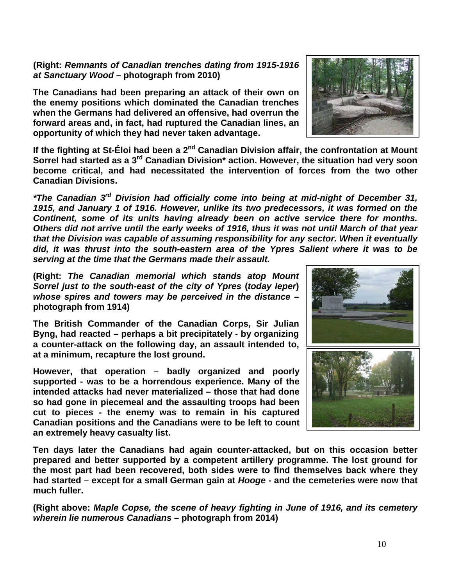**(Right:** *Remnants of Canadian trenches dating from 1915-1916 at Sanctuary Wood* **– photograph from 2010)**

**The Canadians had been preparing an attack of their own on the enemy positions which dominated the Canadian trenches when the Germans had delivered an offensive, had overrun the forward areas and, in fact, had ruptured the Canadian lines, an opportunity of which they had never taken advantage.**

**If the fighting at St-Éloi had been a 2nd Canadian Division affair, the confrontation at Mount Sorrel had started as a 3rd Canadian Division\* action. However, the situation had very soon become critical, and had necessitated the intervention of forces from the two other Canadian Divisions.**

*\*The Canadian 3rd Division had officially come into being at mid-night of December 31, 1915, and January 1 of 1916. However, unlike its two predecessors, it was formed on the Continent, some of its units having already been on active service there for months. Others did not arrive until the early weeks of 1916, thus it was not until March of that year that the Division was capable of assuming responsibility for any sector. When it eventually did, it was thrust into the south-eastern area of the Ypres Salient where it was to be serving at the time that the Germans made their assault.*

**(Right:** *The Canadian memorial which stands atop Mount Sorrel just to the south-east of the city of Ypres* **(***today Ieper***)** *whose spires and towers may be perceived in the distance* **– photograph from 1914)**

**The British Commander of the Canadian Corps, Sir Julian Byng, had reacted – perhaps a bit precipitately - by organizing a counter-attack on the following day, an assault intended to, at a minimum, recapture the lost ground.** 

**However, that operation – badly organized and poorly supported - was to be a horrendous experience. Many of the intended attacks had never materialized – those that had done so had gone in piecemeal and the assaulting troops had been cut to pieces - the enemy was to remain in his captured Canadian positions and the Canadians were to be left to count an extremely heavy casualty list.**



**Ten days later the Canadians had again counter-attacked, but on this occasion better prepared and better supported by a competent artillery programme. The lost ground for the most part had been recovered, both sides were to find themselves back where they had started – except for a small German gain at** *Hooge* **- and the cemeteries were now that much fuller.**

**(Right above:** *Maple Copse, the scene of heavy fighting in June of 1916, and its cemetery wherein lie numerous Canadians* **– photograph from 2014)**

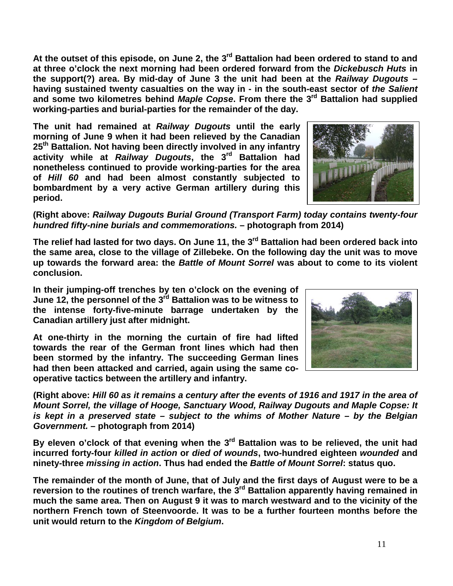**At the outset of this episode, on June 2, the 3rd Battalion had been ordered to stand to and at three o'clock the next morning had been ordered forward from the** *Dickebusch Huts* **in the support(?) area. By mid-day of June 3 the unit had been at the** *Railway Dugouts* **– having sustained twenty casualties on the way in - in the south-east sector of** *the Salient* **and some two kilometres behind** *Maple Copse***. From there the 3rd Battalion had supplied working-parties and burial-parties for the remainder of the day.**

**The unit had remained at** *Railway Dugouts* **until the early morning of June 9 when it had been relieved by the Canadian 25th Battalion. Not having been directly involved in any infantry activity while at** *Railway Dugouts***, the 3rd Battalion had nonetheless continued to provide working-parties for the area of** *Hill 60* **and had been almost constantly subjected to bombardment by a very active German artillery during this period.**

## **(Right above:** *Railway Dugouts Burial Ground (Transport Farm) today contains twenty-four hundred fifty-nine burials and commemorations.* **– photograph from 2014)**

**The relief had lasted for two days. On June 11, the 3rd Battalion had been ordered back into the same area, close to the village of Zillebeke. On the following day the unit was to move up towards the forward area: the** *Battle of Mount Sorrel* **was about to come to its violent conclusion.**

**In their jumping-off trenches by ten o'clock on the evening of June 12, the personnel of the 3rd Battalion was to be witness to the intense forty-five-minute barrage undertaken by the Canadian artillery just after midnight.** 

**At one-thirty in the morning the curtain of fire had lifted towards the rear of the German front lines which had then been stormed by the infantry. The succeeding German lines had then been attacked and carried, again using the same cooperative tactics between the artillery and infantry.**

**(Right above:** *Hill 60 as it remains a century after the events of 1916 and 1917 in the area of Mount Sorrel, the village of Hooge, Sanctuary Wood, Railway Dugouts and Maple Copse: It is kept in a preserved state – subject to the whims of Mother Nature – by the Belgian Government.* **– photograph from 2014)**

**By eleven o'clock of that evening when the 3rd Battalion was to be relieved, the unit had incurred forty-four** *killed in action* **or** *died of wounds***, two-hundred eighteen** *wounded* **and ninety-three** *missing in action***. Thus had ended the** *Battle of Mount Sorrel***: status quo.**

**The remainder of the month of June, that of July and the first days of August were to be a reversion to the routines of trench warfare, the 3rd Battalion apparently having remained in much the same area. Then on August 9 it was to march westward and to the vicinity of the northern French town of Steenvoorde. It was to be a further fourteen months before the unit would return to the** *Kingdom of Belgium***.**



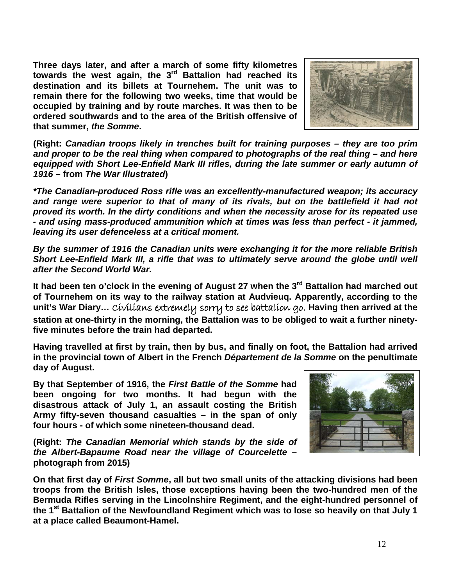**Three days later, and after a march of some fifty kilometres towards the west again, the 3rd Battalion had reached its destination and its billets at Tournehem. The unit was to remain there for the following two weeks, time that would be occupied by training and by route marches. It was then to be ordered southwards and to the area of the British offensive of that summer,** *the Somme***.**



**(Right:** *Canadian troops likely in trenches built for training purposes – they are too prim and proper to be the real thing when compared to photographs of the real thing – and here equipped with Short Lee-Enfield Mark III rifles, during the late summer or early autumn of 1916* **– from** *The War Illustrated***)**

*\*The Canadian-produced Ross rifle was an excellently-manufactured weapon; its accuracy*  and range were superior to that of many of its rivals, but on the battlefield it had not *proved its worth. In the dirty conditions and when the necessity arose for its repeated use - and using mass-produced ammunition which at times was less than perfect - it jammed, leaving its user defenceless at a critical moment.* 

*By the summer of 1916 the Canadian units were exchanging it for the more reliable British Short Lee-Enfield Mark III, a rifle that was to ultimately serve around the globe until well after the Second World War.* 

**It had been ten o'clock in the evening of August 27 when the 3rd Battalion had marched out of Tournehem on its way to the railway station at Audvieuq. Apparently, according to the unit's War Diary…** Civilians extremely sorry to see battalion go. **Having then arrived at the station at one-thirty in the morning, the Battalion was to be obliged to wait a further ninetyfive minutes before the train had departed.**

**Having travelled at first by train, then by bus, and finally on foot, the Battalion had arrived in the provincial town of Albert in the French** *Département de la Somme* **on the penultimate day of August.**

**By that September of 1916, the** *First Battle of the Somme* **had been ongoing for two months. It had begun with the disastrous attack of July 1, an assault costing the British Army fifty-seven thousand casualties – in the span of only four hours - of which some nineteen-thousand dead.**

**(Right:** *The Canadian Memorial which stands by the side of the Albert-Bapaume Road near the village of Courcelette* **– photograph from 2015)**



**On that first day of** *First Somme***, all but two small units of the attacking divisions had been troops from the British Isles, those exceptions having been the two-hundred men of the Bermuda Rifles serving in the Lincolnshire Regiment, and the eight-hundred personnel of the 1st Battalion of the Newfoundland Regiment which was to lose so heavily on that July 1 at a place called Beaumont-Hamel.**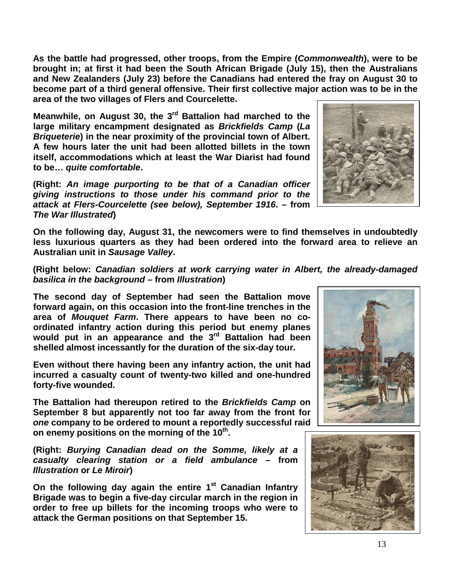**As the battle had progressed, other troops, from the Empire (***Commonwealth***), were to be brought in; at first it had been the South African Brigade (July 15), then the Australians and New Zealanders (July 23) before the Canadians had entered the fray on August 30 to become part of a third general offensive. Their first collective major action was to be in the area of the two villages of Flers and Courcelette.**

**Meanwhile, on August 30, the 3rd Battalion had marched to the large military encampment designated as** *Brickfields Camp* **(***La Briqueterie***) in the near proximity of the provincial town of Albert. A few hours later the unit had been allotted billets in the town itself, accommodations which at least the War Diarist had found to be…** *quite comfortable***.**

**(Right:** *An image purporting to be that of a Canadian officer giving instructions to those under his command prior to the attack at Flers-Courcelette (see below), September 1916***. – from**  *The War Illustrated***)**

**On the following day, August 31, the newcomers were to find themselves in undoubtedly less luxurious quarters as they had been ordered into the forward area to relieve an Australian unit in** *Sausage Valley***.**

**(Right below:** *Canadian soldiers at work carrying water in Albert, the already-damaged basilica in the background* **– from** *Illustration***)**

**The second day of September had seen the Battalion move forward again, on this occasion into the front-line trenches in the area of** *Mouquet Farm***. There appears to have been no coordinated infantry action during this period but enemy planes would put in an appearance and the 3rd Battalion had been shelled almost incessantly for the duration of the six-day tour.**

**Even without there having been any infantry action, the unit had incurred a casualty count of twenty-two killed and one-hundred forty-five wounded.** 

**The Battalion had thereupon retired to the** *Brickfields Camp* **on September 8 but apparently not too far away from the front for**  *one* **company to be ordered to mount a reportedly successful raid**  on enemy positions on the morning of the 10<sup>th</sup>.

**(Right:** *Burying Canadian dead on the Somme, likely at a casualty clearing station or a field ambulance* **– from**  *Illustration* **or** *Le Miroir***)**

**On the following day again the entire 1st Canadian Infantry Brigade was to begin a five-day circular march in the region in order to free up billets for the incoming troops who were to attack the German positions on that September 15.**





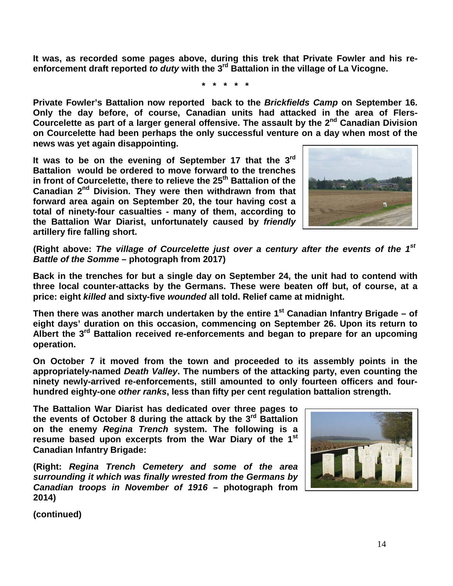**It was, as recorded some pages above, during this trek that Private Fowler and his reenforcement draft reported** *to duty* **with the 3rd Battalion in the village of La Vicogne.**

**\* \* \* \* \***

**Private Fowler's Battalion now reported back to the** *Brickfields Camp* **on September 16. Only the day before, of course, Canadian units had attacked in the area of Flers-Courcelette as part of a larger general offensive. The assault by the 2nd Canadian Division on Courcelette had been perhaps the only successful venture on a day when most of the news was yet again disappointing.**

**It was to be on the evening of September 17 that the 3rd Battalion would be ordered to move forward to the trenches**  in front of Courcelette, there to relieve the 25<sup>th</sup> Battalion of the **Canadian 2nd Division. They were then withdrawn from that forward area again on September 20, the tour having cost a total of ninety-four casualties - many of them, according to the Battalion War Diarist, unfortunately caused by** *friendly* **artillery fire falling short.**



**(Right above:** *The village of Courcelette just over a century after the events of the 1st Battle of the Somme* **– photograph from 2017)**

**Back in the trenches for but a single day on September 24, the unit had to contend with three local counter-attacks by the Germans. These were beaten off but, of course, at a price: eight** *killed* **and sixty-five** *wounded* **all told. Relief came at midnight.**

**Then there was another march undertaken by the entire 1st Canadian Infantry Brigade – of eight days' duration on this occasion, commencing on September 26. Upon its return to Albert the 3rd Battalion received re-enforcements and began to prepare for an upcoming operation.** 

**On October 7 it moved from the town and proceeded to its assembly points in the appropriately-named** *Death Valley***. The numbers of the attacking party, even counting the ninety newly-arrived re-enforcements, still amounted to only fourteen officers and fourhundred eighty-one** *other ranks***, less than fifty per cent regulation battalion strength.**

**The Battalion War Diarist has dedicated over three pages to the events of October 8 during the attack by the 3rd Battalion on the enemy** *Regina Trench* **system. The following is a resume based upon excerpts from the War Diary of the 1st Canadian Infantry Brigade:**

**(Right:** *Regina Trench Cemetery and some of the area surrounding it which was finally wrested from the Germans by Canadian troops in November of 1916* **– photograph from 2014)**

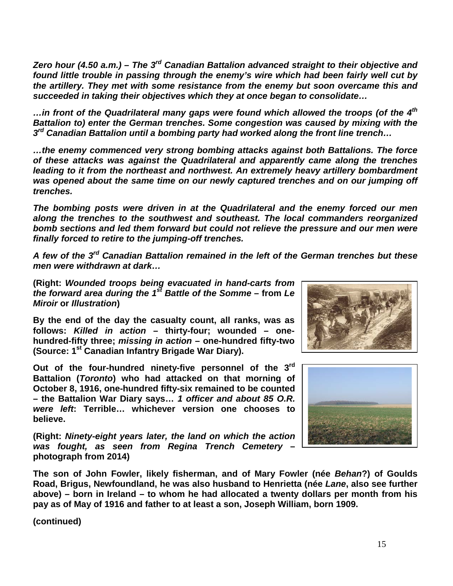*Zero hour (4.50 a.m.) – The 3rd Canadian Battalion advanced straight to their objective and found little trouble in passing through the enemy's wire which had been fairly well cut by the artillery. They met with some resistance from the enemy but soon overcame this and succeeded in taking their objectives which they at once began to consolidate…*

*…in front of the Quadrilateral many gaps were found which allowed the troops (of the 4th Battalion to) enter the German trenches. Some congestion was caused by mixing with the 3rd Canadian Battalion until a bombing party had worked along the front line trench…*

*…the enemy commenced very strong bombing attacks against both Battalions. The force of these attacks was against the Quadrilateral and apparently came along the trenches*  leading to it from the northeast and northwest. An extremely heavy artillery bombardment *was opened about the same time on our newly captured trenches and on our jumping off trenches.*

*The bombing posts were driven in at the Quadrilateral and the enemy forced our men along the trenches to the southwest and southeast. The local commanders reorganized bomb sections and led them forward but could not relieve the pressure and our men were finally forced to retire to the jumping-off trenches.*

*A few of the 3rd Canadian Battalion remained in the left of the German trenches but these men were withdrawn at dark…*

**(Right:** *Wounded troops being evacuated in hand-carts from the forward area during the 1st Battle of the Somme* **– from** *Le Miroir* **or** *Illustration***)**

**By the end of the day the casualty count, all ranks, was as follows:** *Killed in action* **– thirty-four; wounded – onehundred-fifty three;** *missing in action* **– one-hundred fifty-two (Source: 1st Canadian Infantry Brigade War Diary).** 

**Out of the four-hundred ninety-five personnel of the 3rd Battalion (***Toronto***) who had attacked on that morning of October 8, 1916, one-hundred fifty-six remained to be counted – the Battalion War Diary says…** *1 officer and about 85 O.R. were left***: Terrible… whichever version one chooses to believe.** 

**(Right:** *Ninety-eight years later, the land on which the action was fought, as seen from Regina Trench Cemetery* **– photograph from 2014)**





**The son of John Fowler, likely fisherman, and of Mary Fowler (née** *Behan***?) of Goulds Road, Brigus, Newfoundland, he was also husband to Henrietta (née** *Lane***, also see further above) – born in Ireland – to whom he had allocated a twenty dollars per month from his pay as of May of 1916 and father to at least a son, Joseph William, born 1909.**